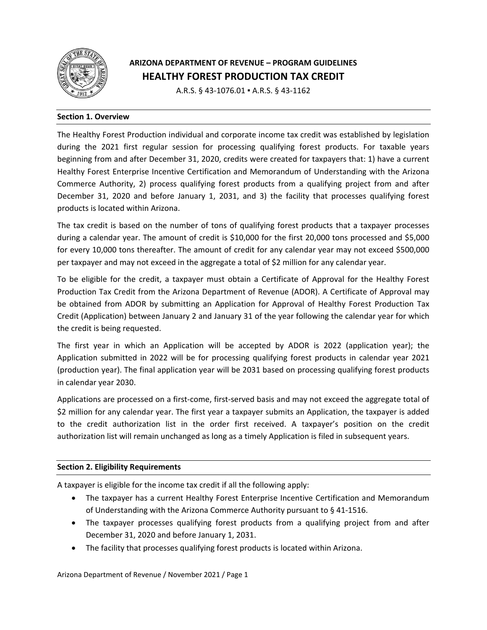

# **ARIZONA DEPARTMENT OF REVENUE – PROGRAM GUIDELINES HEALTHY FOREST PRODUCTION TAX CREDIT**

A.R.S. § 43‐1076.01 ▪ A.R.S. § 43‐1162

## **Section 1. Overview**

The Healthy Forest Production individual and corporate income tax credit was established by legislation during the 2021 first regular session for processing qualifying forest products. For taxable years beginning from and after December 31, 2020, credits were created for taxpayers that: 1) have a current Healthy Forest Enterprise Incentive Certification and Memorandum of Understanding with the Arizona Commerce Authority, 2) process qualifying forest products from a qualifying project from and after December 31, 2020 and before January 1, 2031, and 3) the facility that processes qualifying forest products is located within Arizona.

The tax credit is based on the number of tons of qualifying forest products that a taxpayer processes during a calendar year. The amount of credit is \$10,000 for the first 20,000 tons processed and \$5,000 for every 10,000 tons thereafter. The amount of credit for any calendar year may not exceed \$500,000 per taxpayer and may not exceed in the aggregate a total of \$2 million for any calendar year.

To be eligible for the credit, a taxpayer must obtain a Certificate of Approval for the Healthy Forest Production Tax Credit from the Arizona Department of Revenue (ADOR). A Certificate of Approval may be obtained from ADOR by submitting an Application for Approval of Healthy Forest Production Tax Credit (Application) between January 2 and January 31 of the year following the calendar year for which the credit is being requested.

The first year in which an Application will be accepted by ADOR is 2022 (application year); the Application submitted in 2022 will be for processing qualifying forest products in calendar year 2021 (production year). The final application year will be 2031 based on processing qualifying forest products in calendar year 2030.

Applications are processed on a first‐come, first‐served basis and may not exceed the aggregate total of \$2 million for any calendar year. The first year a taxpayer submits an Application, the taxpayer is added to the credit authorization list in the order first received. A taxpayer's position on the credit authorization list will remain unchanged as long as a timely Application is filed in subsequent years.

#### **Section 2. Eligibility Requirements**

A taxpayer is eligible for the income tax credit if all the following apply:

- The taxpayer has a current Healthy Forest Enterprise Incentive Certification and Memorandum of Understanding with the Arizona Commerce Authority pursuant to § 41‐1516.
- The taxpayer processes qualifying forest products from a qualifying project from and after December 31, 2020 and before January 1, 2031.
- The facility that processes qualifying forest products is located within Arizona.

Arizona Department of Revenue / November 2021 / Page 1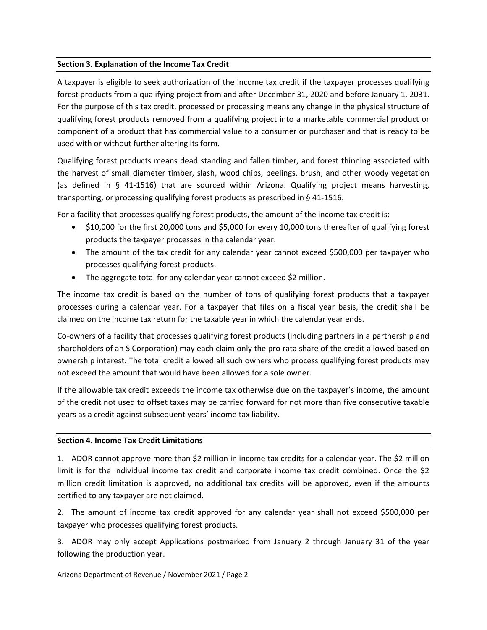## **Section 3. Explanation of the Income Tax Credit**

A taxpayer is eligible to seek authorization of the income tax credit if the taxpayer processes qualifying forest products from a qualifying project from and after December 31, 2020 and before January 1, 2031. For the purpose of this tax credit, processed or processing means any change in the physical structure of qualifying forest products removed from a qualifying project into a marketable commercial product or component of a product that has commercial value to a consumer or purchaser and that is ready to be used with or without further altering its form.

Qualifying forest products means dead standing and fallen timber, and forest thinning associated with the harvest of small diameter timber, slash, wood chips, peelings, brush, and other woody vegetation (as defined in § 41‐1516) that are sourced within Arizona. Qualifying project means harvesting, transporting, or processing qualifying forest products as prescribed in § 41‐1516.

For a facility that processes qualifying forest products, the amount of the income tax credit is:

- \$10,000 for the first 20,000 tons and \$5,000 for every 10,000 tons thereafter of qualifying forest products the taxpayer processes in the calendar year.
- The amount of the tax credit for any calendar year cannot exceed \$500,000 per taxpayer who processes qualifying forest products.
- The aggregate total for any calendar year cannot exceed \$2 million.

The income tax credit is based on the number of tons of qualifying forest products that a taxpayer processes during a calendar year. For a taxpayer that files on a fiscal year basis, the credit shall be claimed on the income tax return for the taxable year in which the calendar year ends.

Co-owners of a facility that processes qualifying forest products (including partners in a partnership and shareholders of an S Corporation) may each claim only the pro rata share of the credit allowed based on ownership interest. The total credit allowed all such owners who process qualifying forest products may not exceed the amount that would have been allowed for a sole owner.

If the allowable tax credit exceeds the income tax otherwise due on the taxpayer's income, the amount of the credit not used to offset taxes may be carried forward for not more than five consecutive taxable years as a credit against subsequent years' income tax liability.

#### **Section 4. Income Tax Credit Limitations**

1. ADOR cannot approve more than \$2 million in income tax credits for a calendar year. The \$2 million limit is for the individual income tax credit and corporate income tax credit combined. Once the \$2 million credit limitation is approved, no additional tax credits will be approved, even if the amounts certified to any taxpayer are not claimed.

2. The amount of income tax credit approved for any calendar year shall not exceed \$500,000 per taxpayer who processes qualifying forest products.

3. ADOR may only accept Applications postmarked from January 2 through January 31 of the year following the production year.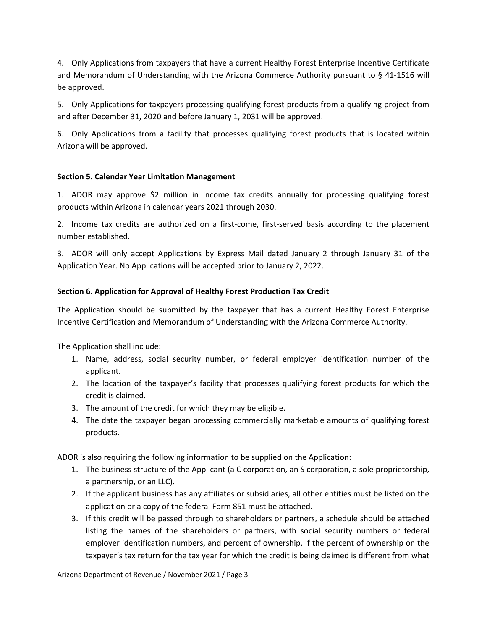4. Only Applications from taxpayers that have a current Healthy Forest Enterprise Incentive Certificate and Memorandum of Understanding with the Arizona Commerce Authority pursuant to § 41‐1516 will be approved.

5. Only Applications for taxpayers processing qualifying forest products from a qualifying project from and after December 31, 2020 and before January 1, 2031 will be approved.

6. Only Applications from a facility that processes qualifying forest products that is located within Arizona will be approved.

#### **Section 5. Calendar Year Limitation Management**

1. ADOR may approve \$2 million in income tax credits annually for processing qualifying forest products within Arizona in calendar years 2021 through 2030.

2. Income tax credits are authorized on a first‐come, first‐served basis according to the placement number established.

3. ADOR will only accept Applications by Express Mail dated January 2 through January 31 of the Application Year. No Applications will be accepted prior to January 2, 2022.

#### **Section 6. Application for Approval of Healthy Forest Production Tax Credit**

The Application should be submitted by the taxpayer that has a current Healthy Forest Enterprise Incentive Certification and Memorandum of Understanding with the Arizona Commerce Authority.

The Application shall include:

- 1. Name, address, social security number, or federal employer identification number of the applicant.
- 2. The location of the taxpayer's facility that processes qualifying forest products for which the credit is claimed.
- 3. The amount of the credit for which they may be eligible.
- 4. The date the taxpayer began processing commercially marketable amounts of qualifying forest products.

ADOR is also requiring the following information to be supplied on the Application:

- 1. The business structure of the Applicant (a C corporation, an S corporation, a sole proprietorship, a partnership, or an LLC).
- 2. If the applicant business has any affiliates or subsidiaries, all other entities must be listed on the application or a copy of the federal Form 851 must be attached.
- 3. If this credit will be passed through to shareholders or partners, a schedule should be attached listing the names of the shareholders or partners, with social security numbers or federal employer identification numbers, and percent of ownership. If the percent of ownership on the taxpayer's tax return for the tax year for which the credit is being claimed is different from what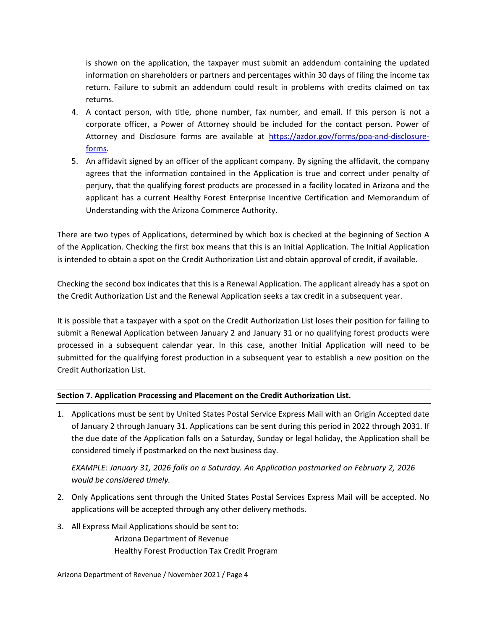is shown on the application, the taxpayer must submit an addendum containing the updated information on shareholders or partners and percentages within 30 days of filing the income tax return. Failure to submit an addendum could result in problems with credits claimed on tax returns.

- 4. A contact person, with title, phone number, fax number, and email. If this person is not a corporate officer, a Power of Attorney should be included for the contact person. Power of Attorney and Disclosure forms are available at https://azdor.gov/forms/poa-and-disclosureforms.
- 5. An affidavit signed by an officer of the applicant company. By signing the affidavit, the company agrees that the information contained in the Application is true and correct under penalty of perjury, that the qualifying forest products are processed in a facility located in Arizona and the applicant has a current Healthy Forest Enterprise Incentive Certification and Memorandum of Understanding with the Arizona Commerce Authority.

There are two types of Applications, determined by which box is checked at the beginning of Section A of the Application. Checking the first box means that this is an Initial Application. The Initial Application is intended to obtain a spot on the Credit Authorization List and obtain approval of credit, if available.

Checking the second box indicates that this is a Renewal Application. The applicant already has a spot on the Credit Authorization List and the Renewal Application seeks a tax credit in a subsequent year.

It is possible that a taxpayer with a spot on the Credit Authorization List loses their position for failing to submit a Renewal Application between January 2 and January 31 or no qualifying forest products were processed in a subsequent calendar year. In this case, another Initial Application will need to be submitted for the qualifying forest production in a subsequent year to establish a new position on the Credit Authorization List.

## **Section 7. Application Processing and Placement on the Credit Authorization List.**

1. Applications must be sent by United States Postal Service Express Mail with an Origin Accepted date of January 2 through January 31. Applications can be sent during this period in 2022 through 2031. If the due date of the Application falls on a Saturday, Sunday or legal holiday, the Application shall be considered timely if postmarked on the next business day.

*EXAMPLE: January 31, 2026 falls on a Saturday. An Application postmarked on February 2, 2026 would be considered timely.*

- 2. Only Applications sent through the United States Postal Services Express Mail will be accepted. No applications will be accepted through any other delivery methods.
- 3. All Express Mail Applications should be sent to:

Arizona Department of Revenue Healthy Forest Production Tax Credit Program

Arizona Department of Revenue / November 2021 / Page 4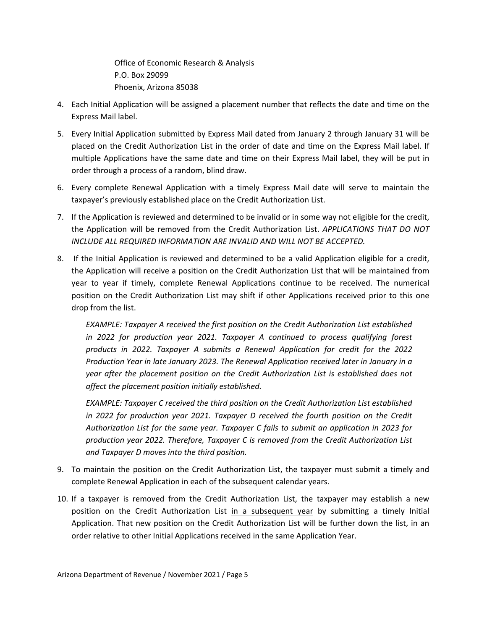Office of Economic Research & Analysis P.O. Box 29099 Phoenix, Arizona 85038

- 4. Each Initial Application will be assigned a placement number that reflects the date and time on the Express Mail label.
- 5. Every Initial Application submitted by Express Mail dated from January 2 through January 31 will be placed on the Credit Authorization List in the order of date and time on the Express Mail label. If multiple Applications have the same date and time on their Express Mail label, they will be put in order through a process of a random, blind draw.
- 6. Every complete Renewal Application with a timely Express Mail date will serve to maintain the taxpayer's previously established place on the Credit Authorization List.
- 7. If the Application is reviewed and determined to be invalid or in some way not eligible for the credit, the Application will be removed from the Credit Authorization List. *APPLICATIONS THAT DO NOT INCLUDE ALL REQUIRED INFORMATION ARE INVALID AND WILL NOT BE ACCEPTED.*
- 8. If the Initial Application is reviewed and determined to be a valid Application eligible for a credit, the Application will receive a position on the Credit Authorization List that will be maintained from year to year if timely, complete Renewal Applications continue to be received. The numerical position on the Credit Authorization List may shift if other Applications received prior to this one drop from the list.

*EXAMPLE: Taxpayer A received the first position on the Credit Authorization List established in 2022 for production year 2021. Taxpayer A continued to process qualifying forest products in 2022. Taxpayer A submits a Renewal Application for credit for the 2022 Production Year in late January 2023. The Renewal Application received later in January in a year after the placement position on the Credit Authorization List is established does not affect the placement position initially established.*

*EXAMPLE: Taxpayer C received the third position on the Credit Authorization List established in 2022 for production year 2021. Taxpayer D received the fourth position on the Credit Authorization List for the same year. Taxpayer C fails to submit an application in 2023 for production year 2022. Therefore, Taxpayer C is removed from the Credit Authorization List and Taxpayer D moves into the third position.*

- 9. To maintain the position on the Credit Authorization List, the taxpayer must submit a timely and complete Renewal Application in each of the subsequent calendar years.
- 10. If a taxpayer is removed from the Credit Authorization List, the taxpayer may establish a new position on the Credit Authorization List in a subsequent year by submitting a timely Initial Application. That new position on the Credit Authorization List will be further down the list, in an order relative to other Initial Applications received in the same Application Year.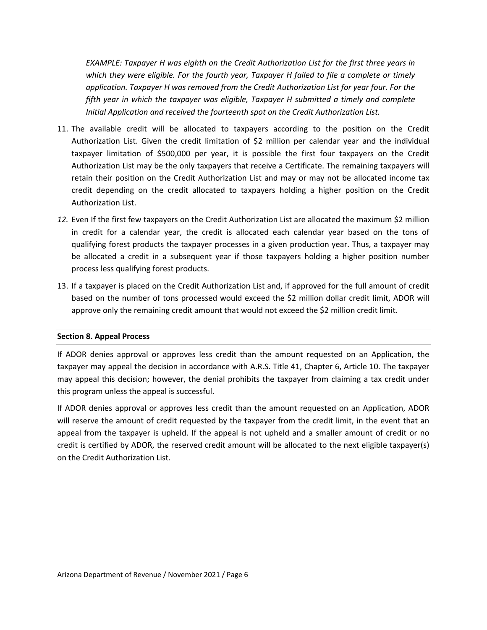*EXAMPLE: Taxpayer H was eighth on the Credit Authorization List for the first three years in which they were eligible. For the fourth year, Taxpayer H failed to file a complete or timely application. Taxpayer H was removed from the Credit Authorization List for year four. For the fifth year in which the taxpayer was eligible, Taxpayer H submitted a timely and complete Initial Application and received the fourteenth spot on the Credit Authorization List.*

- 11. The available credit will be allocated to taxpayers according to the position on the Credit Authorization List. Given the credit limitation of \$2 million per calendar year and the individual taxpayer limitation of \$500,000 per year, it is possible the first four taxpayers on the Credit Authorization List may be the only taxpayers that receive a Certificate. The remaining taxpayers will retain their position on the Credit Authorization List and may or may not be allocated income tax credit depending on the credit allocated to taxpayers holding a higher position on the Credit Authorization List.
- *12.* Even If the first few taxpayers on the Credit Authorization List are allocated the maximum \$2 million in credit for a calendar year, the credit is allocated each calendar year based on the tons of qualifying forest products the taxpayer processes in a given production year. Thus, a taxpayer may be allocated a credit in a subsequent year if those taxpayers holding a higher position number process less qualifying forest products.
- 13. If a taxpayer is placed on the Credit Authorization List and, if approved for the full amount of credit based on the number of tons processed would exceed the \$2 million dollar credit limit, ADOR will approve only the remaining credit amount that would not exceed the \$2 million credit limit.

#### **Section 8. Appeal Process**

If ADOR denies approval or approves less credit than the amount requested on an Application, the taxpayer may appeal the decision in accordance with A.R.S. Title 41, Chapter 6, Article 10. The taxpayer may appeal this decision; however, the denial prohibits the taxpayer from claiming a tax credit under this program unless the appeal is successful.

If ADOR denies approval or approves less credit than the amount requested on an Application, ADOR will reserve the amount of credit requested by the taxpayer from the credit limit, in the event that an appeal from the taxpayer is upheld. If the appeal is not upheld and a smaller amount of credit or no credit is certified by ADOR, the reserved credit amount will be allocated to the next eligible taxpayer(s) on the Credit Authorization List.